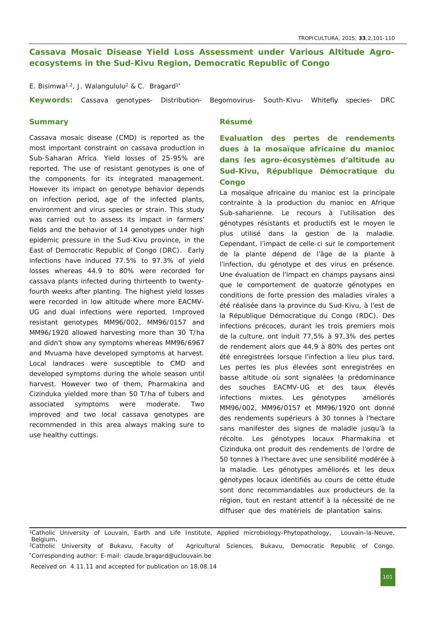# **Cassava Mosaic Disease Yield Loss Assessment under Various Altitude Agroecosystems** in the Sud-Kivu Region, Democratic Republic of Congo

E. Bisimwa<sup>1,2</sup>, J. Walangululu<sup>2</sup> & C. Bragard<sup>1\*</sup>

Keywords: Cassava genotypes- Distribution- Begomovirus- South-Kivu- Whitefly species- DRC

## **Summary**

*Cassava mosaic disease (CMD) is reported as the most important constraint on cassava production in Sub-Saharan Africa. Yield losses of 25-95% are reported. The use of resistant genotypes is one of the components for its integrated management. However its impact on genotype behavior depends on infection period, age of the infected plants, environment and virus species or strain. This study was carried out to assess its impact in farmers' fields and the behavior of 14 genotypes under high epidemic* pressure in the Sud-Kivu province, in the *East of Democratic Republic of Congo (DRC). Early infections have induced 77.5% to 97.3% of yield losses whereas 44.9 to 80% were recorded for cassava plants infected during thirteenth to twentyfourth weeks after planting. The highest yield losses were recorded in low altitude where more EACMV-UG and dual infections were reported. Improved resistant genotypes MM96/002, MM96/0157 and MM96/1920 allowed harvesting more than 30 T/ha and didn't show any symptoms whereas MM96/6967 and Mvuama have developed symptoms at harvest. Local landraces were susceptible to CMD and developed symptoms during the whole season until harvest. However two of them,* Pharmakina *and* Cizinduka *yielded more than 50 T/ha of tubers and associated symptoms were moderate. Two improved and two local cassava genotypes are recommended in this area always making sure to use healthy cuttings.*

### **Résumé**

**Evaluation des pertes de rendements dues à la mosaïque africaine du manioc dans les agroécosystèmes d'altitude au** Sud-Kivu, République Démocratique du **Congo**

*La mosaïque africaine du manioc est la principale contrainte à la production du manioc en Afrique Subsaharienne. Le recours à l'utilisation des génotypes résistants et productifs est le moyen le plus utilisé dans la gestion de la maladie. Cependant, l'impact de celleci sur le comportement de la plante dépend de l'âge de la plante à l'infection, du génotype et des virus en présence. Une évaluation de l'impact en champs paysans ainsi que le comportement de quatorze génotypes en conditions de forte pression des maladies virales a*  $é$ té *réalisée dans* la province du Sud-Kivu, à l'est de *la République Démocratique du Congo (RDC). Des infections précoces, durant les trois premiers mois de la culture, ont induit 77,5% à 97,3% des pertes de rendement alors que 44,9 à 80% des pertes ont été enregistrées lorsque l'infection a lieu plus tard. Les pertes les plus élevées sont enregistrées en basse altitude où sont signalées la prédominance des souches EACMVUG et des taux élevés infections mixtes. Les génotypes améliorés MM96/002, MM96/0157 et MM96/1920 ont donné des rendements supérieurs à 30 tonnes à l'hectare sans manifester des signes de maladie jusqu'à la récolte. Les génotypes locaux* Pharmakina *et* Cizinduka *ont produit des rendements de l'ordre de 50 tonnes à l'hectare avec une sensibilité modérée à la maladie. Les génotypes améliorés et les deux génotypes locaux identifiés au cours de cette étude sont donc recommandables aux producteurs de la région, tout en restant attentif à la nécessité de ne diffuser que des matériels de plantation sains.*

Received on 4.11.11 and accepted for publication on 18.08.14

<sup>1</sup>Catholic University of Louvain, Earth and Life Institute, Applied microbiology-Phytopathology, Louvain-la-Neuve, Belgium<br><sup>2</sup>Catholic University of Bukavu, Faculty of Agricultural Sciences, Bukavu, Democratic Republic of Congo.

<sup>\*</sup>Corresponding author: Email: claude.bragard@uclouvain.be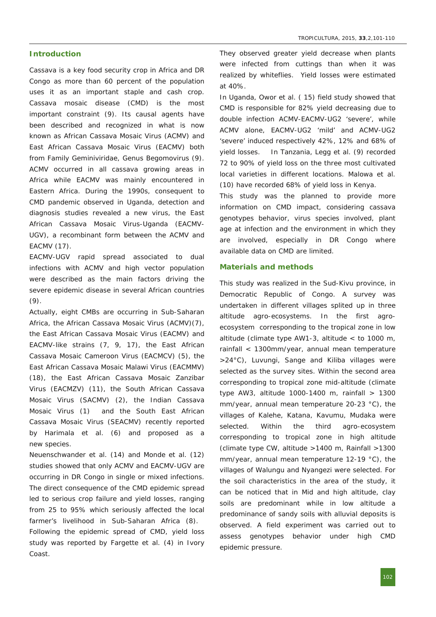# **Introduction**

Cassava is a key food security crop in Africa and DR Congo as more than 60 percent of the population uses it as an important staple and cash crop. Cassava mosaic disease (CMD) is the most important constraint (9). Its causal agents have been described and recognized in what is now known as African Cassava Mosaic Virus (ACMV) and East African Cassava Mosaic Virus (EACMV) both from Family Geminiviridae, Genus Begomovirus (9). ACMV occurred in all cassava growing areas in Africa while EACMV was mainly encountered in Eastern Africa. During the 1990s, consequent to CMD pandemic observed in Uganda, detection and diagnosis studies revealed a new virus, the East African Cassava Mosaic Virus-Uganda (EACMV-UGV), a recombinant form between the ACMV and EACMV (17).

EACMV-UGV rapid spread associated to dual infections with ACMV and high vector population were described as the main factors driving the severe epidemic disease in several African countries (9).

Actually, eight CMBs are occurring in Sub-Saharan Africa, the African Cassava Mosaic Virus (ACMV)(7), the East African Cassava Mosaic Virus (EACMV) and EACMV-like strains  $(7, 9, 17)$ , the East African Cassava Mosaic Cameroon Virus (EACMCV) (5), the East African Cassava Mosaic Malawi Virus (EACMMV) (18), the East African Cassava Mosaic Zanzibar Virus (EACMZV) (11), the South African Cassava Mosaic Virus (SACMV) (2), the Indian Cassava Mosaic Virus (1) and the South East African Cassava Mosaic Virus (SEACMV) recently reported by Harimala *et al.* (6) and proposed as a new species.

Neuenschwander *et al.* (14) and Monde *et al.* (12) studies showed that only ACMV and EACMV-UGV are occurring in DR Congo in single or mixed infections. The direct consequence of the CMD epidemic spread led to serious crop failure and yield losses, ranging from 25 to 95% which seriously affected the local farmer's livelihood in Sub-Saharan Africa (8). Following the epidemic spread of CMD, yield loss

study was reported by Fargette *et al.* (4) in Ivory Coast.

They observed greater yield decrease when plants were infected from cuttings than when it was realized by whiteflies. Yield losses were estimated at 40%.

In Uganda, Owor *et al.* ( 15) field study showed that CMD is responsible for 82% yield decreasing due to double infection ACMV-EACMV-UG2 'severe', while ACMV alone, EACMV-UG2 'mild' and ACMV-UG2 'severe' induced respectively 42%, 12% and 68% of yield losses. In Tanzania, Legg *et al.* (9) recorded 72 to 90% of yield loss on the three most cultivated local varieties in different locations. Malowa *et al.* (10) have recorded 68% of yield loss in Kenya.

This study was the planned to provide more information on CMD impact, considering cassava genotypes behavior, virus species involved, plant age at infection and the environment in which they are involved, especially in DR Congo where available data on CMD are limited.

### **Materials and methods**

This study was realized in the Sud-Kivu province, in Democratic Republic of Congo. A survey was undertaken in different villages splited up in three altitude agro-ecosystems. In the first agroecosystem corresponding to the tropical zone in low altitude (climate type AW1-3, altitude  $<$  to 1000 m, rainfall < 1300mm/year, annual mean temperature >24°C), Luvungi, Sange and Kiliba villages were selected as the survey sites. Within the second area corresponding to tropical zone mid-altitude (climate type AW3, altitude 1000-1400 m, rainfall  $> 1300$ mm/year, annual mean temperature 20-23 °C), the villages of Kalehe, Katana, Kavumu, Mudaka were selected. Within the third agro-ecosystem corresponding to tropical zone in high altitude (climate type CW, altitude >1400 m, Rainfall >1300 mm/year, annual mean temperature 12-19 °C), the villages of Walungu and Nyangezi were selected. For the soil characteristics in the area of the study, it can be noticed that in Mid and high altitude, clay soils are predominant while in low altitude a predominance of sandy soils with alluvial deposits is observed. A field experiment was carried out to assess genotypes behavior under high CMD epidemic pressure.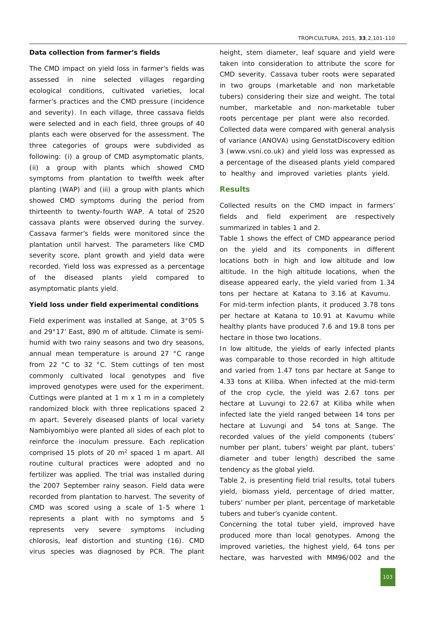### **Data collection from farmer's fields**

The CMD impact on yield loss in farmer's fields was assessed in nine selected villages regarding ecological conditions, cultivated varieties, local farmer's practices and the CMD pressure (incidence and severity). In each village, three cassava fields were selected and in each field, three groups of 40 plants each were observed for the assessment. The three categories of groups were subdivided as following: (i) a group of CMD asymptomatic plants, (ii) a group with plants which showed CMD symptoms from plantation to twelfth week after planting (WAP) and (iii) a group with plants which showed CMD symptoms during the period from thirteenth to twenty-fourth WAP. A total of 2520 cassava plants were observed during the survey. Cassava farmer's fields were monitored since the plantation until harvest. The parameters like CMD severity score, plant growth and yield data were recorded. Yield loss was expressed as a percentage of the diseased plants yield compared to asymptomatic plants yield.

### **Yield loss under field experimental conditions**

Field experiment was installed at Sange, at 3°05 S and 29°17' East, 890 m of altitude. Climate is semihumid with two rainy seasons and two dry seasons, annual mean temperature is around 27 °C range from 22 °C to 32 °C. Stem cuttings of ten most commonly cultivated local genotypes and five improved genotypes were used for the experiment. Cuttings were planted at 1 m x 1 m in a completely randomized block with three replications spaced 2 m apart. Severely diseased plants of local variety Nambiyombiyo were planted all sides of each plot to reinforce the inoculum pressure. Each replication comprised 15 plots of 20 m<sup>2</sup> spaced 1 m apart. All routine cultural practices were adopted and no fertilizer was applied. The trial was installed during the 2007 September rainy season. Field data were recorded from plantation to harvest. The severity of CMD was scored using a scale of 1-5 where 1 represents a plant with no symptoms and 5 represents very severe symptoms including chlorosis, leaf distortion and stunting (16). CMD virus species was diagnosed by PCR. The plant height, stem diameter, leaf square and yield were taken into consideration to attribute the score for CMD severity. Cassava tuber roots were separated in two groups (marketable and non marketable tubers) considering their size and weight. The total number, marketable and non-marketable tuber roots percentage per plant were also recorded. Collected data were compared with general analysis of variance (ANOVA) using GenstatDiscovery edition 3 (www.vsni.co.uk) and yield loss was expressed as a percentage of the diseased plants yield compared to healthy and improved varieties plants yield.

# **Results**

Collected results on the CMD impact in farmers' fields and field experiment are respectively summarized in tables 1 and 2.

Table 1 shows the effect of CMD appearance period on the yield and its components in different locations both in high and low altitude and low altitude. In the high altitude locations, when the disease appeared early, the yield varied from 1.34 tons per hectare at Katana to 3.16 at Kavumu.

For mid-term infection plants, it produced 3.78 tons per hectare at Katana to 10.91 at Kavumu while healthy plants have produced 7.6 and 19.8 tons per hectare in those two locations.

In low altitude, the yields of early infected plants was comparable to those recorded in high altitude and varied from 1.47 tons par hectare at Sange to 4.33 tons at Kiliba. When infected at the mid-term of the crop cycle, the yield was 2.67 tons per hectare at Luvungi to 22.67 at Kiliba while when infected late the yield ranged between 14 tons per hectare at Luvungi and 54 tons at Sange. The recorded values of the yield components (tubers' number per plant, tubers' weight par plant, tubers' diameter and tuber length) described the same tendency as the global yield.

Table 2, is presenting field trial results, total tubers yield, biomass yield, percentage of dried matter, tubers' number per plant, percentage of marketable tubers and tuber's cyanide content.

Concerning the total tuber yield, improved have produced more than local genotypes. Among the improved varieties, the highest yield, 64 tons per hectare, was harvested with MM96/002 and the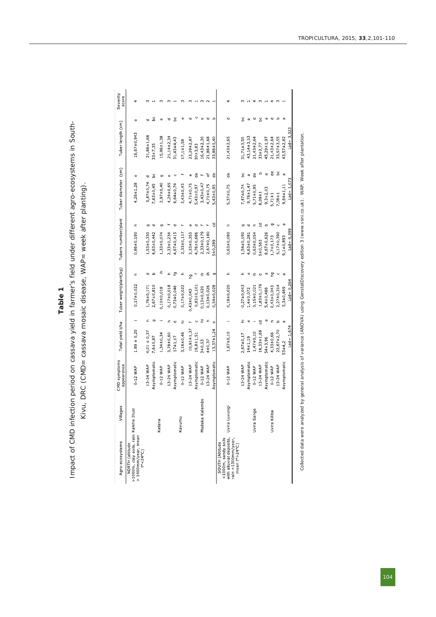# Table 1<br>**1 Impact of CMD infection period on cassava yield in farmer's field under different agro-ecosystems in South-**Impact of CMD infection period on cassava yield in farmer's field under different agro-ecosystems in South-<br>Kivu, DRC (CMD= cassava mosaic disease, WAP= week after planting).

Kivu, DRC (CMD= cassava mosaic disease, WAP= week after planting).

| Agro-ecosystems                                                                                                     | Villages       | CMD symptoms<br>appearance | Total yield t/ha |                   | Tuber weight/plant(kg)   |          | Tubers number/plant      | Tuber diameter (cm) |                    | Tuber length (cm) |             | Severity<br>score |
|---------------------------------------------------------------------------------------------------------------------|----------------|----------------------------|------------------|-------------------|--------------------------|----------|--------------------------|---------------------|--------------------|-------------------|-------------|-------------------|
| >1000m, clay soils, rain Kalehe Ihusi<br>> 1400mm/year, mean<br>t°<24°C)<br>NORTH (altitude                         |                | 0-12 WAP                   | $1.89 \pm 0.20$  |                   | $0,17\pm0,022$           | £.       | ᅩ<br>$0,86 \pm 0,190$    | $4,26 \pm 1,28$     | Φ                  | $16,67 \pm 0,943$ | Φ           |                   |
|                                                                                                                     |                | 13-24 WAP                  | $4,01 \pm 0,37$  | ᇰ                 | $1,76\pm0,171$           | Δ        | $1,53\pm0,330$           | $5,87\pm0,74$       | Ō                  | $21,86 + 1,68$    | Δ           |                   |
|                                                                                                                     |                | Asymptomatic               | $7,6 + 0,87$     | ō                 | $2,67\pm0,810$           | $\Omega$ | $4,63\pm0,442$           | 7,63±0,45           | ٥c                 | $33 \pm 7,35$     | کڑ          |                   |
|                                                                                                                     | Katana         | $0.12$ WAP                 | $1,34\pm0,34$    |                   | $0,10\pm0,018$           | ≞        | ō<br>$1,33\pm0,074$      | $2,97\pm0,40$       | g                  | $15,96 \pm 1,38$  | $\mathbf 0$ |                   |
|                                                                                                                     |                | 13 24 WAP                  | $3,78+0,60$      |                   | $0,17\pm0,018$           | ᇰ        | $2,33\pm0,234$           | $4,24 \pm 0,65$     |                    | $21,14\pm2,34$    | Δ           |                   |
|                                                                                                                     |                | Asymptomatic               | $17 + 1, 17$     |                   | $0,73\pm0,046$           | ු        | $4,67 \pm 0,415$         | $6,64\pm0,74$       | Ċ                  | $31,43\pm4,43$    | ى           |                   |
|                                                                                                                     | Kavumu         | 0-12 WAP                   | $3,16\pm0.46$    | Ë                 | $0,17\pm0,022$           | Ξ.       | $2,33\pm0,117$           | $3,43\pm0,43$       |                    | $17,1+1,58$       | Φ           |                   |
|                                                                                                                     |                | 13-24 WAP                  | $10,91 \pm 1,37$ |                   | ը<br>1<br>$0,43\pm0,043$ |          | 3,33±0,355               | $4,71\pm0,75$       | ω                  | $23,29\pm2,87$    | ರ           |                   |
|                                                                                                                     |                | Asymptomatic               | $19,8 + 1,51$    | ပ                 | $0,83\pm0,101$           |          | $4,76 \pm 0,686$         | $5,43\pm0,97$       | ₽                  | $30 + 3,83$       |             |                   |
|                                                                                                                     | Mudaka Kalambo | 0-12 WAP                   | $3 + 0,53$       | Ξ                 | $0,13\pm0,020$           |          | $2,33\pm0,179$           | $3,43\pm0,47$       |                    | $16,43\pm2,30$    | ¢           |                   |
|                                                                                                                     |                | 13-24 WAF                  | $4 + 0,37$       | $\mathbf{r}$      | $0,13\pm0,026$           | ≞        | $2,67 \pm 0,180$         | $4,71\pm0,75$       | ď                  | $21,86 \pm 1,68$  | σ           |                   |
|                                                                                                                     |                | Asymptomatic               | $13,37 \pm 1,24$ | $\mathbf  \omega$ | $0,54 \pm 0,028$         | σ        | पु<br>5±0,289            | $5,43\pm0,95$       | $\frac{e}{\sigma}$ | $33,86 \pm 5,40$  | $\Omega$    |                   |
| with alluvial deposits,<br><1000m, sandy soils<br>rain <1300mm/year,<br>SOUTH (Altitude<br>mean $t^{\circ}$ > 24°C) | Uvira Luvungi  | 0-12 WAP                   | $1,67\pm0,10$    |                   | $0,18\pm0,020$           | £.       | £.<br>$0,63\pm0,090$     | $5,37\pm0,75$       | g                  | $21,43\pm2,65$    | o           |                   |
|                                                                                                                     |                | 13-24 WAP                  | $2,67\pm0,17$    | Ξ                 | $0,27\pm0,043$           |          | $1,54 \pm 0,190$         | $7,47\pm0,74$       | ەە                 | 31,71±3,50        | ەد          |                   |
|                                                                                                                     |                | Asymptomatic               | $14 + 1,19$      | Φ                 | $1,4+0,072$              | Φ        | $4,63\pm0,281$           | $9,76 \pm 1,47$     | ø                  | 43,14±3,53        | ā           |                   |
|                                                                                                                     | Uvira Sange    | 0-12 WAP                   | $1,47\pm0.10$    |                   | 0,15±0,021               | ≞        | $0.63 \pm 0.054$         | $5,71\pm0.95$       | g                  | $21,43\pm2,64$    | Δ           |                   |
|                                                                                                                     |                | 13-24 WAP                  | $8,33 \pm 1,68$  | ट                 | $.83 \pm 0.179$          | Δ        | 핑<br>5±0,563             | 8,09±1              | م                  | $33 \pm 2,77$     | ەم          |                   |
|                                                                                                                     |                | Asymptomatic               | $54 + 3,96$      | a                 | $5,4\pm0,486$            | m        | $\Omega$<br>8,67±0,626   | $9,3+2,03$          | n,                 | $45,29 \pm 1,97$  | œ           |                   |
|                                                                                                                     | Uvira Kiliba   | 0-12 WAP                   | $4,33+0,66$      | ᅩ                 | $0,43\pm0,043$           | Ъq       | Ō<br>$1,7+0,173$         | $5,71 \pm 1$        | $\sigma$           | $21,43\pm2,64$    | τ           |                   |
|                                                                                                                     |                | 13 24 WAP                  | $22,67\pm2,70$   | $\Omega$          | $2,27\pm0,314$           | Ü        | $5,17\pm0,390$           | $7,36 \pm 1$        | ەم                 | $33,57 \pm 3,55$  | م           |                   |
|                                                                                                                     |                | Asymptomatic               | $53 + 4,2$       | <b>ro</b>         | $5,3+0,469$              | æ        | <b>ro</b><br>$9,1+0,893$ | $9,64 \pm 1,11$     | n,                 | $43,57 \pm 2,82$  | <b>ro</b>   |                   |
|                                                                                                                     |                |                            | $Lsd = 1,674$    |                   | $Lsd = 0,264$            |          | $Lsd = 0,399$            | $LSd = 1,073$       |                    | $Lsd = 3,323$     |             |                   |

O PIC U L T U R A, 2 0 1 5, **3 3**,2,1 0 1 1 1 0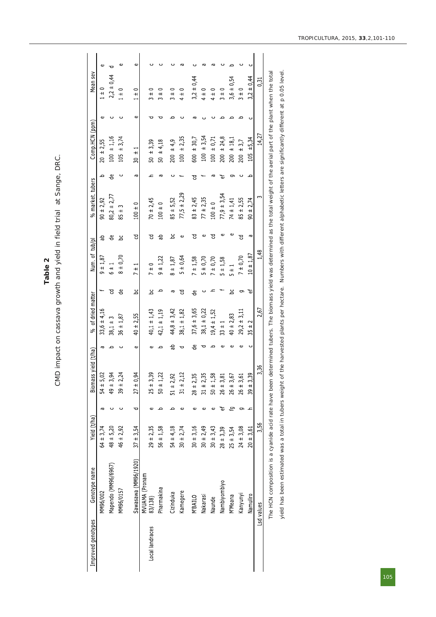Table 2<br>CMD impact on cassava growth and yield in field trial at Sange, DRC. CMD impact on cassava growth and yield in field trial at Sange, DRC.

|                 | Genotype name             | Yield (t/ha)  |                          | Biomass vield (t/ha) |          | of dried matter<br>್ಥೆ |    | Num. of tub/pl                   |   | % market. tubers  |         | Comp.HCN (ppm)                   |   | Mean sey               |   |
|-----------------|---------------------------|---------------|--------------------------|----------------------|----------|------------------------|----|----------------------------------|---|-------------------|---------|----------------------------------|---|------------------------|---|
|                 | MM96/002                  | $64 \pm 3,74$ | ø                        | $54 + 5,02$          | ā        | $33,6 \pm 4,16$        |    | $9 + 1,87$                       | 음 | $90 \pm 2,92$     | $\circ$ | $20 + 2,55$                      | Φ | $1 \pm 0$              | Φ |
|                 | Mapendo (MM96/6967)       | $48 + 5,20$   | ပ                        | $49 + 3,94$          |          | $38,1 \pm 3$           | ੲ  | $\frac{1}{6}$                    | 응 | $80,2 \pm 2,77$   | 응       | $100 \pm 1.16$                   |   | $2,2 \pm 0,44$         |   |
|                 | MM96/0157                 | $46 \pm 2,92$ |                          | $39 \pm 2,24$        |          | $36 \pm 1,87$          | ಕಿ | $8 + 0,70$                       | ک | $85 \pm 3$        | ပ       | ± 3,74<br>105                    |   | $1 \pm 0$              | Φ |
|                 | Sawasawa (MM96/1920)      | $37 + 3,54$   | p                        | $27 \pm 0,94$        | Φ        | $40 \pm 2,55$          | ى  | $\frac{1}{11}$<br>$\overline{ }$ | ੲ | $100 \pm 0$       | G       | $\frac{1}{1}$<br>$\overline{30}$ | Φ | $\circ$<br>$+$         | Φ |
| Local landraces | MVUAMA (Pronam<br>83/138) | $29 + 2,35$   | ¢                        | $25 \pm 3,39$        |          | $40,1 \pm 1,43$        | کا | $\frac{1}{1}$                    | ੲ | $70 + 2,45$       |         | $50 \pm 3,39$                    |   | 0<br>$\overline{+}$    |   |
|                 | Pharmakina                | $56 + 1,58$   |                          | $50 \pm 1,22$        |          | $42,1 \pm 1,19$        | c  | $9 \pm 1,22$                     | 음 | $100 \pm 0$       | æ       | $50 \pm 4,18$                    |   | 0<br>$\overline{+}$    |   |
|                 | Cizinduka                 | $54 \pm 4,18$ |                          | $51 \pm 2,9$         | 음        | $44,8 \pm 3,42$        | Ğ  | $8 + 1,87$                       | ى | $85 + 5,52$       |         | ± 4.9<br>200                     |   | 0<br>$\overline{+}$    |   |
|                 | Kamegere                  | $30 \pm 2,74$ | Φ                        | $31 \pm 2,12$        | ਹ        | $38,1 \pm 1,82$        | ੲ  | ± 0,64<br>5                      | Φ | $77,5 \pm 2,29$   |         | ± 2,35<br>100                    |   | 0<br>$\overline{+}$    |   |
|                 | <b>N'BAILO</b>            | $30 + 3,16$   | ¢                        | $28 \pm 2,3$         | 응        | $37,6 \pm 3,65$        | ಕೆ | $7 \pm 1,58$                     | ੲ | $83 \pm 2,45$     | 2       | ± 30,7<br>600                    |   | 0,44<br>$3,2 +$        |   |
|                 | Nakarasi                  | $30 \pm 2,49$ | ¢                        | $31 \pm 2,3$         | ᇰ        | $38,1 \pm 0,22$        |    | $\pm 0,70$<br>m                  | Φ | $77 + 2,35$       |         | ± 3,54<br>100                    |   | $4 \pm 0$              |   |
|                 | Naunde                    | $30 \pm 3,43$ | Φ                        | ∞<br>$50 + 1,5$      | $\Omega$ | $19,4 \pm 1,52$        |    | $7 \pm 0,70$                     | ੲ | $100 \pm 0$       |         | ± 0,71<br>100                    |   | $\circ$<br>$rac{+}{4}$ |   |
|                 | Nambiyombiyo              | $28 + 3,39$   | ťΦ                       | $26 \pm 3.8$         | ¢        | $33 \pm 1$             |    | $5 + 1,58$                       | Φ | $77,9 \pm 3,54$   | ъ       | ± 24,8<br>200                    |   | 0<br>$\overline{+}$    |   |
|                 | M'Meana                   | $25 \pm 3,54$ | ے                        | $26 + 3,6$           | Φ        | $40 \pm 2,83$          | ەم | $\frac{1}{4}$                    | Φ | $74 \pm 1,41$     | రా      | ± 18,1<br>200                    |   | $3,6 \pm 0,54$         |   |
|                 | Kanyunyi                  | $24 \pm 3.08$ |                          | $26 \pm 3.6$         | Φ        | $29,2 \pm 3,11$        | 9  | $7 + 0.70$                       | ੲ | $85 + 2,55$       |         | ± 3,7<br>200                     |   | $3 \pm 0$              |   |
|                 | Namuliro                  | $20 + 3,61$   | $\overline{\phantom{0}}$ | ፰<br>$39 \pm 3$ ,    | ပ        | $\sim$<br>$35 +$       | ťΦ | $10 \pm 1.87$                    | Ğ | 2,74<br>$+$<br>90 | ص       | ±5,34<br>105                     |   | $3,2 \pm 0,44$         |   |
| Lsd values      |                           | 3,56          |                          | 3,36                 |          | 2,67                   |    | 1,48                             |   | w                 |         | 14,27                            |   | 0.31                   |   |

yield has been estimated was a total in tubers weight of the harvested plants per hectare. Numbers with different alphabetic letters are significantly different at p 0.05 level.

yield has been estimated was a total in tubers weight of the harvested plants per hectare. Numbers with different alphabetic letters are significantly different at p 0.05 level.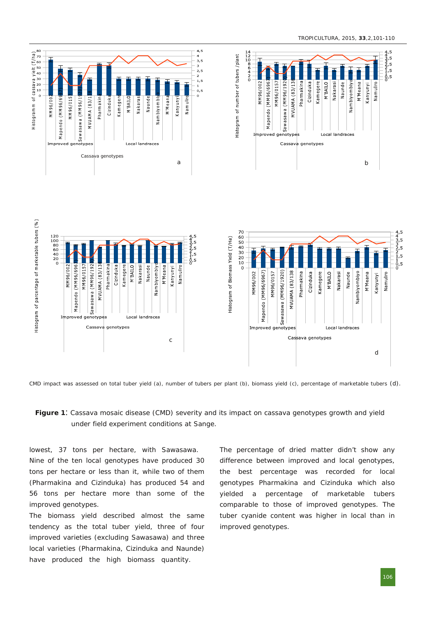

CMD impact was assessed on total tuber yield (a), number of tubers per plant (b), biomass yield (c), percentage of marketable tubers (d).

**Figure <sup>1</sup>** Cassava mosaic disease (CMD) severity and its impact on cassava genotypes growth and yield under field experiment conditions at Sange.

lowest, 37 tons per hectare, with Sawasawa. Nine of the ten local genotypes have produced 30 tons per hectare or less than it, while two of them (*Pharmakina* and *Cizinduka*) has produced 54 and 56 tons per hectare more than some of the improved genotypes.

The biomass yield described almost the same tendency as the total tuber yield, three of four improved varieties (excluding *Sawasawa*) and three local varieties (*Pharmakina, Cizinduka* and *Naunde*) have produced the high biomass quantity.

The percentage of dried matter didn't show any difference between improved and local genotypes, the best percentage was recorded for local genotypes *Pharmakina* and *Cizinduka* which also yielded a percentage of marketable tubers comparable to those of improved genotypes. The tuber cyanide content was higher in local than in improved genotypes.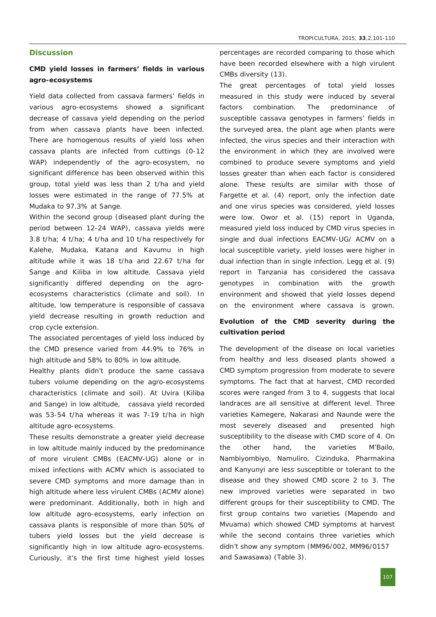# **Discussion**

**CMD yield losses in farmers' fields in various** agro-ecosystems

Yield data collected from cassava farmers' fields in various agro-ecosystems showed a significant decrease of cassava yield depending on the period from when cassava plants have been infected. There are homogenous results of yield loss when cassava plants are infected from cuttings (0-12 WAP) independently of the agro-ecosystem, no significant difference has been observed within this group, total yield was less than 2 t/ha and yield losses were estimated in the range of 77.5% at Mudaka to 97.3% at Sange.

Within the second group (diseased plant during the period between 12-24 WAP), cassava yields were 3.8 t/ha; 4 t/ha; 4 t/ha and 10 t/ha respectively for Kalehe, Mudaka, Katana and Kavumu in high altitude while it was 18 t/ha and 22.67 t/ha for Sange and Kiliba in low altitude. Cassava yield significantly differed depending on the agroecosystems characteristics (climate and soil). In altitude, low temperature is responsible of cassava yield decrease resulting in growth reduction and crop cycle extension.

The associated percentages of yield loss induced by the CMD presence varied from 44.9% to 76% in high altitude and 58% to 80% in low altitude.

Healthy plants didn't produce the same cassava tubers volume depending on the agro-ecosystems characteristics (climate and soil). At Uvira (Kiliba and Sange) in low altitude, cassava yield recorded was 53-54 t/ha whereas it was 7-19 t/ha in high altitude agro-ecosystems.

These results demonstrate a greater yield decrease in low altitude mainly induced by the predominance of more virulent CMBs (EACMV-UG) alone or in mixed infections with ACMV which is associated to severe CMD symptoms and more damage than in high altitude where less virulent CMBs (ACMV alone) were predominant. Additionally, both in high and low altitude agro-ecosystems, early infection on cassava plants is responsible of more than 50% of tubers yield losses but the yield decrease is significantly high in low altitude agro-ecosystems. Curiously, it's the first time highest yield losses

percentages are recorded comparing to those which have been recorded elsewhere with a high virulent CMBs diversity (13).

The great percentages of total yield losses measured in this study were induced by several factors combination. The predominance of susceptible cassava genotypes in farmers' fields in the surveyed area, the plant age when plants were infected, the virus species and their interaction with the environment in which they are involved were combined to produce severe symptoms and yield losses greater than when each factor is considered alone. These results are similar with those of Fargette *et al.* (4) report, only the infection date and one virus species was considered, yield losses were low. Owor *et al.* (15) report in Uganda, measured yield loss induced by CMD virus species in single and dual infections EACMV-UG/ ACMV on a local susceptible variety, yield losses were higher in dual infection than in single infection. Legg *et al.* (9) report in Tanzania has considered the cassava genotypes in combination with the growth environment and showed that yield losses depend on the environment where cassava is grown.

**Evolution of the CMD severity during the cultivation period**

The development of the disease on local varieties from healthy and less diseased plants showed a CMD symptom progression from moderate to severe symptoms. The fact that at harvest, CMD recorded scores were ranged from 3 to 4, suggests that local landraces are all sensitive at different level. Three varieties *Kamegere*, *Nakarasi* and *Naunde* were the most severely diseased and presented high susceptibility to the disease with CMD score of 4. On the other hand, the varieties *M'Bailo*, *Nambiyombiyo*, *Namuliro*, *Cizinduka*, *Pharmakina* and *Kanyunyi* are less susceptible or tolerant to the disease and they showed CMD score 2 to 3. The new improved varieties were separated in two different groups for their susceptibility to CMD. The first group contains two varieties (*Mapendo* and *Mvuama*) which showed CMD symptoms at harvest while the second contains three varieties which didn't show any symptom (MM96/002, MM96/0157 and Sawasawa) (Table 3).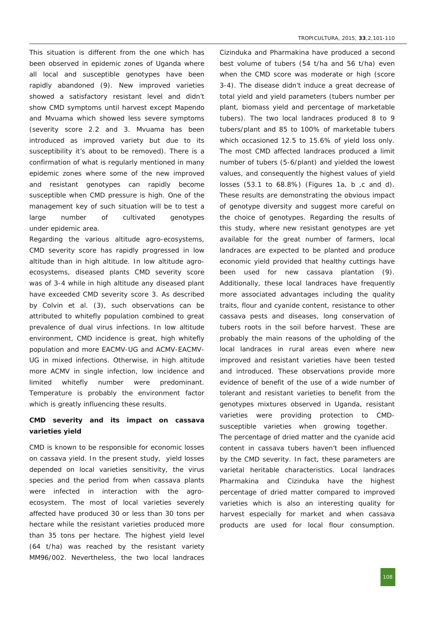This situation is different from the one which has been observed in epidemic zones of Uganda where all local and susceptible genotypes have been rapidly abandoned (9). New improved varieties showed a satisfactory resistant level and didn't show CMD symptoms until harvest except *Mapendo* and *Mvuama* which showed less severe symptoms (severity score 2.2 and 3. *Mvuama* has been introduced as improved variety but due to its susceptibility it's about to be removed). There is a confirmation of what is regularly mentioned in many epidemic zones where some of the new improved and resistant genotypes can rapidly become susceptible when CMD pressure is high. One of the management key of such situation will be to test a large number of cultivated genotypes under epidemic area.

Regarding the various altitude agro-ecosystems, CMD severity score has rapidly progressed in low altitude than in high altitude. In low altitude agroecosystems, diseased plants CMD severity score was of 3-4 while in high altitude any diseased plant have exceeded CMD severity score 3. As described by Colvin *et al.* (3), such observations can be attributed to whitefly population combined to great prevalence of dual virus infections. In low altitude environment, CMD incidence is great, high whitefly population and more EACMV-UG and ACMV-EACMV-UG in mixed infections. Otherwise, in high altitude more ACMV in single infection, low incidence and limited whitefly number were predominant. Temperature is probably the environment factor which is greatly influencing these results.

**CMD severity and its impact on cassava varieties yield**

CMD is known to be responsible for economic losses on cassava yield. In the present study, yield losses depended on local varieties sensitivity, the virus species and the period from when cassava plants were infected in interaction with the agroecosystem. The most of local varieties severely affected have produced 30 or less than 30 tons per hectare while the resistant varieties produced more than 35 tons per hectare. The highest yield level (64 t/ha) was reached by the resistant variety *MM96/002*. Nevertheless, the two local landraces

*Cizinduka* and *Pharmakina* have produced a second best volume of tubers (54 t/ha and 56 t/ha) even when the CMD score was moderate or high (score 34). The disease didn't induce a great decrease of total yield and yield parameters (tubers number per plant, biomass yield and percentage of marketable tubers). The two local landraces produced 8 to 9 tubers/plant and 85 to 100% of marketable tubers which occasioned 12.5 to 15.6% of yield loss only. The most CMD affected landraces produced a limit number of tubers (5-6/plant) and yielded the lowest values, and consequently the highest values of yield losses (53.1 to 68.8%) (Figures 1a, b ,c and d). These results are demonstrating the obvious impact of genotype diversity and suggest more careful on the choice of genotypes. Regarding the results of this study, where new resistant genotypes are yet available for the great number of farmers, local landraces are expected to be planted and produce economic yield provided that healthy cuttings have been used for new cassava plantation (9). Additionally, these local landraces have frequently more associated advantages including the quality traits, flour and cyanide content, resistance to other cassava pests and diseases, long conservation of tubers roots in the soil before harvest. These are probably the main reasons of the upholding of the local landraces in rural areas even where new improved and resistant varieties have been tested and introduced. These observations provide more evidence of benefit of the use of a wide number of tolerant and resistant varieties to benefit from the genotypes mixtures observed in Uganda, resistant varieties were providing protection to CMDsusceptible varieties when growing together. The percentage of dried matter and the cyanide acid

content in cassava tubers haven't been influenced by the CMD severity. In fact, these parameters are varietal heritable characteristics. Local landraces *Pharmakina* and *Cizinduka* have the highest percentage of dried matter compared to improved varieties which is also an interesting quality for harvest especially for market and when cassava products are used for local flour consumption.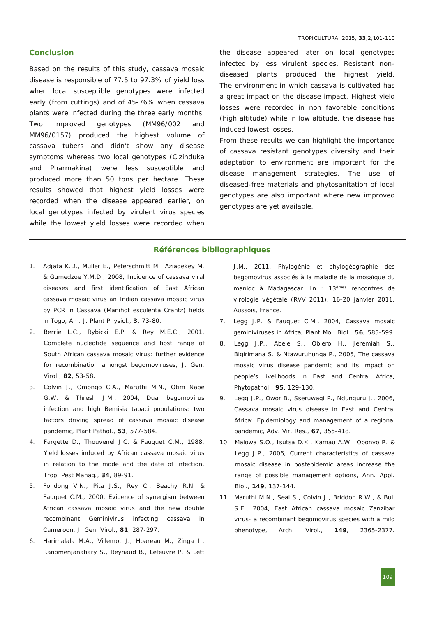# **Conclusion**

Based on the results of this study, cassava mosaic disease is responsible of 77.5 to 97.3% of yield loss when local susceptible genotypes were infected early (from cuttings) and of 45-76% when cassava plants were infected during the three early months. Two improved genotypes (MM96/002 and MM96/0157) produced the highest volume of cassava tubers and didn't show any disease symptoms whereas two local genotypes (*Cizinduka* and *Pharmakina*) were less susceptible and produced more than 50 tons per hectare. These results showed that highest yield losses were recorded when the disease appeared earlier, on local genotypes infected by virulent virus species while the lowest yield losses were recorded when the disease appeared later on local genotypes infected by less virulent species. Resistant nondiseased plants produced the highest yield. The environment in which cassava is cultivated has a great impact on the disease impact. Highest yield losses were recorded in non favorable conditions (high altitude) while in low altitude, the disease has induced lowest losses.

From these results we can highlight the importance of cassava resistant genotypes diversity and their adaptation to environment are important for the disease management strategies. The use of diseased-free materials and phytosanitation of local genotypes are also important where new improved genotypes are yet available.

### **Références bibliographiques**

- 1. Adjata K.D., Muller E., Peterschmitt M., Aziadekey M. & Gumedzoe Y.M.D., 2008, Incidence of cassava viral diseases and first identification of East African cassava mosaic virus an Indian cassava mosaic virus by PCR in Cassava (*Manihot esculenta* Crantz) fields in Togo, Am. J. Plant Physiol., 3, 73-80.
- 2. Berrie L.C., Rybicki E.P. & Rey M.E.C., 2001, Complete nucleotide sequence and host range of South African cassava mosaic virus: further evidence for recombination amongst begomoviruses, *J. Gen. Virol.*, 82, 53-58.
- 3. Colvin J., Omongo C.A., Maruthi M.N., Otim Nape G.W. & Thresh J.M., 2004, Dual begomovirus infection and high Bemisia tabaci populations: two factors driving spread of cassava mosaic disease **pandemic, Plant Pathol., 53, 577-584.**
- 4. Fargette D., Thouvenel J.C. & Fauquet C.M., 1988, Yield losses induced by African cassava mosaic virus in relation to the mode and the date of infection, *Trop. Pest Manag.*, **34**, 8991.
- 5. Fondong V.N., Pita J.S., Rey C., Beachy R.N. & Fauquet C.M., 2000, Evidence of synergism between African cassava mosaic virus and the new double recombinant Geminivirus infecting cassava in Cameroon, *J. Gen. Virol.*, **81**, 287297.
- 6. Harimalala M.A., Villemot J., Hoareau M., Zinga I., Ranomenjanahary S., Reynaud B., Lefeuvre P. & Lett

J.M., 2011, *Phylogénie et phylogéographie des begomovirus associés à la maladie de la mosaïque du manioc à Madagascar*. In : 13 èmes rencontres de virologie végétale (RVV 2011), 16-20 janvier 2011, Aussois, France.

- 7. Legg J.P. & Fauquet C.M., 2004, Cassava mosaic geminiviruses in Africa, Plant Mol. Biol., 56, 585-599.
- 8. Legg J.P., Abele S., Obiero H., Jeremiah S., Bigirimana S. & Ntawuruhunga P., 2005, The cassava mosaic virus disease pandemic and its impact on people's livelihoods in East and Central Africa, Phytopathol., 95, 129-130.
- 9. Legg J.P., Owor B., Sseruwagi P., Ndunguru J., 2006, Cassava mosaic virus disease in East and Central Africa: Epidemiology and management of a regional pandemic, *Adv. Vir. Res.*, **67**, 355418.
- 10. Malowa S.O., Isutsa D.K., Kamau A.W., Obonyo R. & Legg J.P., 2006, Current characteristics of cassava mosaic disease in postepidemic areas increase the range of possible management options, *Ann. Appl. Biol.*, **149**, 137144.
- 11. Maruthi M.N., Seal S., Colvin J., Briddon R.W., & Bull S.E., 2004, East African cassava mosaic Zanzibar virus- a recombinant begomovirus species with a mild phenotype, *Arch. Virol.*, **149**, 23652377.